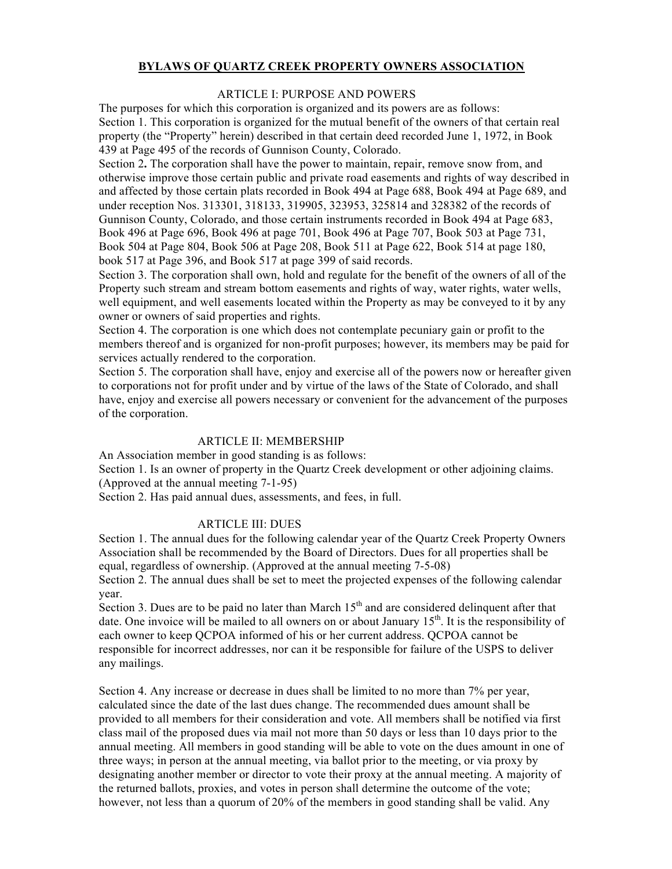# **BYLAWS OF QUARTZ CREEK PROPERTY OWNERS ASSOCIATION**

## ARTICLE I: PURPOSE AND POWERS

The purposes for which this corporation is organized and its powers are as follows: Section 1. This corporation is organized for the mutual benefit of the owners of that certain real property (the "Property" herein) described in that certain deed recorded June 1, 1972, in Book 439 at Page 495 of the records of Gunnison County, Colorado.

Section 2**.** The corporation shall have the power to maintain, repair, remove snow from, and otherwise improve those certain public and private road easements and rights of way described in and affected by those certain plats recorded in Book 494 at Page 688, Book 494 at Page 689, and under reception Nos. 313301, 318133, 319905, 323953, 325814 and 328382 of the records of Gunnison County, Colorado, and those certain instruments recorded in Book 494 at Page 683, Book 496 at Page 696, Book 496 at page 701, Book 496 at Page 707, Book 503 at Page 731, Book 504 at Page 804, Book 506 at Page 208, Book 511 at Page 622, Book 514 at page 180, book 517 at Page 396, and Book 517 at page 399 of said records.

Section 3. The corporation shall own, hold and regulate for the benefit of the owners of all of the Property such stream and stream bottom easements and rights of way, water rights, water wells, well equipment, and well easements located within the Property as may be conveyed to it by any owner or owners of said properties and rights.

Section 4. The corporation is one which does not contemplate pecuniary gain or profit to the members thereof and is organized for non-profit purposes; however, its members may be paid for services actually rendered to the corporation.

Section 5. The corporation shall have, enjoy and exercise all of the powers now or hereafter given to corporations not for profit under and by virtue of the laws of the State of Colorado, and shall have, enjoy and exercise all powers necessary or convenient for the advancement of the purposes of the corporation.

### ARTICLE II: MEMBERSHIP

An Association member in good standing is as follows:

Section 1. Is an owner of property in the Quartz Creek development or other adjoining claims. (Approved at the annual meeting 7-1-95)

Section 2. Has paid annual dues, assessments, and fees, in full.

### ARTICLE III: DUES

Section 1. The annual dues for the following calendar year of the Quartz Creek Property Owners Association shall be recommended by the Board of Directors. Dues for all properties shall be equal, regardless of ownership. (Approved at the annual meeting 7-5-08)

Section 2. The annual dues shall be set to meet the projected expenses of the following calendar year.

Section 3. Dues are to be paid no later than March  $15<sup>th</sup>$  and are considered delinguent after that date. One invoice will be mailed to all owners on or about January  $15<sup>th</sup>$ . It is the responsibility of each owner to keep QCPOA informed of his or her current address. QCPOA cannot be responsible for incorrect addresses, nor can it be responsible for failure of the USPS to deliver any mailings.

Section 4. Any increase or decrease in dues shall be limited to no more than 7% per year, calculated since the date of the last dues change. The recommended dues amount shall be provided to all members for their consideration and vote. All members shall be notified via first class mail of the proposed dues via mail not more than 50 days or less than 10 days prior to the annual meeting. All members in good standing will be able to vote on the dues amount in one of three ways; in person at the annual meeting, via ballot prior to the meeting, or via proxy by designating another member or director to vote their proxy at the annual meeting. A majority of the returned ballots, proxies, and votes in person shall determine the outcome of the vote; however, not less than a quorum of 20% of the members in good standing shall be valid. Any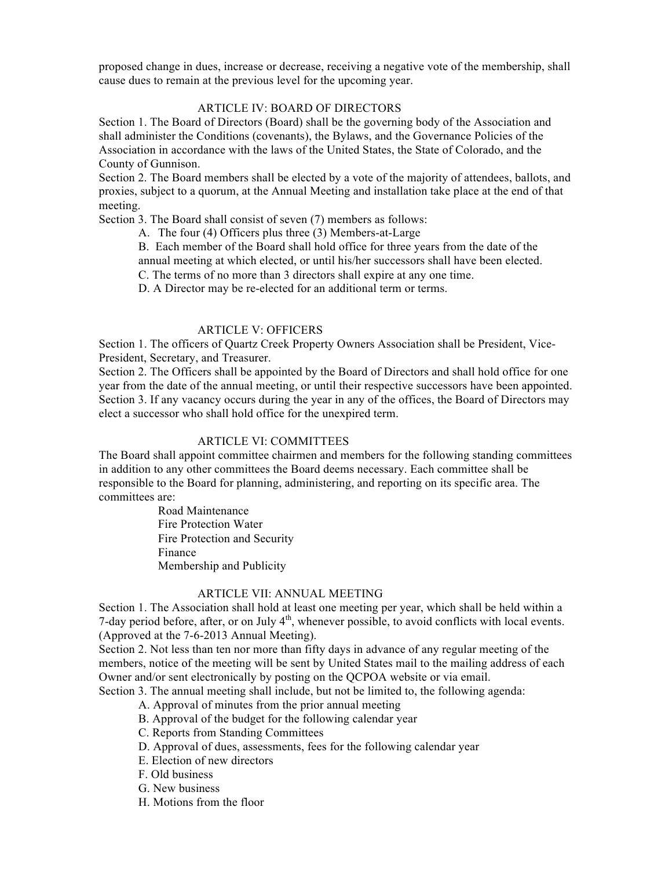proposed change in dues, increase or decrease, receiving a negative vote of the membership, shall cause dues to remain at the previous level for the upcoming year.

## ARTICLE IV: BOARD OF DIRECTORS

Section 1. The Board of Directors (Board) shall be the governing body of the Association and shall administer the Conditions (covenants), the Bylaws, and the Governance Policies of the Association in accordance with the laws of the United States, the State of Colorado, and the County of Gunnison.

Section 2. The Board members shall be elected by a vote of the majority of attendees, ballots, and proxies, subject to a quorum, at the Annual Meeting and installation take place at the end of that meeting.

Section 3. The Board shall consist of seven (7) members as follows:

A. The four (4) Officers plus three (3) Members-at-Large

B. Each member of the Board shall hold office for three years from the date of the annual meeting at which elected, or until his/her successors shall have been elected.

C. The terms of no more than 3 directors shall expire at any one time.

D. A Director may be re-elected for an additional term or terms.

### ARTICLE V: OFFICERS

Section 1. The officers of Quartz Creek Property Owners Association shall be President, Vice-President, Secretary, and Treasurer.

Section 2. The Officers shall be appointed by the Board of Directors and shall hold office for one year from the date of the annual meeting, or until their respective successors have been appointed. Section 3. If any vacancy occurs during the year in any of the offices, the Board of Directors may elect a successor who shall hold office for the unexpired term.

## ARTICLE VI: COMMITTEES

The Board shall appoint committee chairmen and members for the following standing committees in addition to any other committees the Board deems necessary. Each committee shall be responsible to the Board for planning, administering, and reporting on its specific area. The committees are:

> Road Maintenance Fire Protection Water Fire Protection and Security Finance Membership and Publicity

#### ARTICLE VII: ANNUAL MEETING

Section 1. The Association shall hold at least one meeting per year, which shall be held within a 7-day period before, after, or on July  $4<sup>th</sup>$ , whenever possible, to avoid conflicts with local events. (Approved at the 7-6-2013 Annual Meeting).

Section 2. Not less than ten nor more than fifty days in advance of any regular meeting of the members, notice of the meeting will be sent by United States mail to the mailing address of each Owner and/or sent electronically by posting on the QCPOA website or via email.

Section 3. The annual meeting shall include, but not be limited to, the following agenda:

- A. Approval of minutes from the prior annual meeting
- B. Approval of the budget for the following calendar year
- C. Reports from Standing Committees
- D. Approval of dues, assessments, fees for the following calendar year
- E. Election of new directors
- F. Old business
- G. New business
- H. Motions from the floor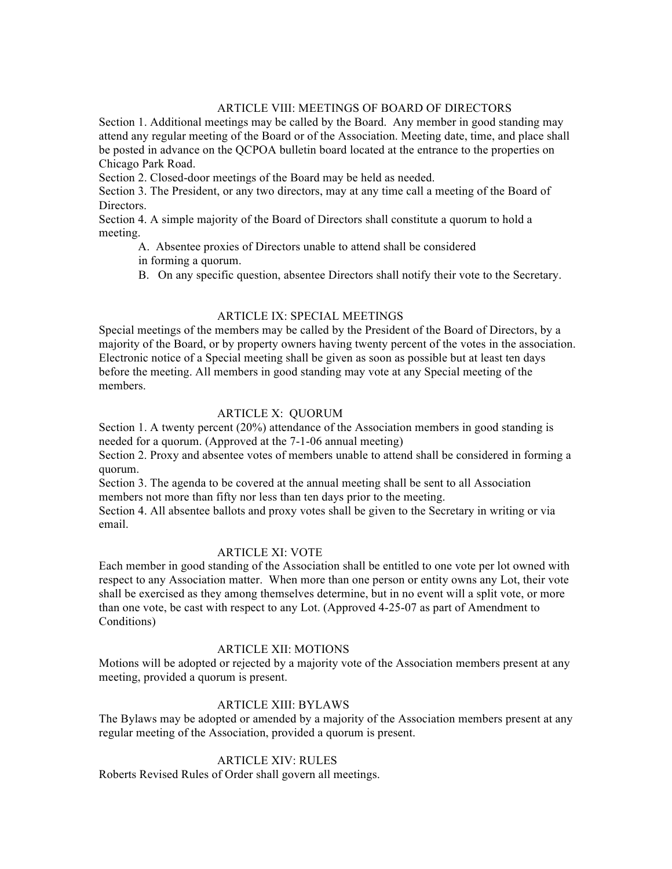# ARTICLE VIII: MEETINGS OF BOARD OF DIRECTORS

Section 1. Additional meetings may be called by the Board. Any member in good standing may attend any regular meeting of the Board or of the Association. Meeting date, time, and place shall be posted in advance on the QCPOA bulletin board located at the entrance to the properties on Chicago Park Road.

Section 2. Closed-door meetings of the Board may be held as needed.

Section 3. The President, or any two directors, may at any time call a meeting of the Board of Directors.

Section 4. A simple majority of the Board of Directors shall constitute a quorum to hold a meeting.

 A. Absentee proxies of Directors unable to attend shall be considered in forming a quorum.

B. On any specific question, absentee Directors shall notify their vote to the Secretary.

## ARTICLE IX: SPECIAL MEETINGS

Special meetings of the members may be called by the President of the Board of Directors, by a majority of the Board, or by property owners having twenty percent of the votes in the association. Electronic notice of a Special meeting shall be given as soon as possible but at least ten days before the meeting. All members in good standing may vote at any Special meeting of the members.

# ARTICLE X: QUORUM

Section 1. A twenty percent (20%) attendance of the Association members in good standing is needed for a quorum. (Approved at the 7-1-06 annual meeting)

Section 2. Proxy and absentee votes of members unable to attend shall be considered in forming a quorum.

Section 3. The agenda to be covered at the annual meeting shall be sent to all Association members not more than fifty nor less than ten days prior to the meeting.

Section 4. All absentee ballots and proxy votes shall be given to the Secretary in writing or via email.

### ARTICLE XI: VOTE

Each member in good standing of the Association shall be entitled to one vote per lot owned with respect to any Association matter. When more than one person or entity owns any Lot, their vote shall be exercised as they among themselves determine, but in no event will a split vote, or more than one vote, be cast with respect to any Lot. (Approved 4-25-07 as part of Amendment to Conditions)

#### ARTICLE XII: MOTIONS

Motions will be adopted or rejected by a majority vote of the Association members present at any meeting, provided a quorum is present.

## ARTICLE XIII: BYLAWS

The Bylaws may be adopted or amended by a majority of the Association members present at any regular meeting of the Association, provided a quorum is present.

# ARTICLE XIV: RULES

Roberts Revised Rules of Order shall govern all meetings.